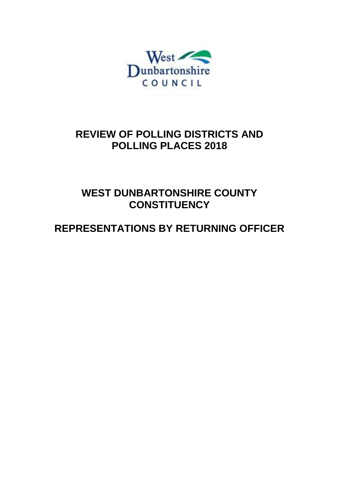

# **REVIEW OF POLLING DISTRICTS AND POLLING PLACES 2018**

**WEST DUNBARTONSHIRE COUNTY CONSTITUENCY** 

# **REPRESENTATIONS BY RETURNING OFFICER**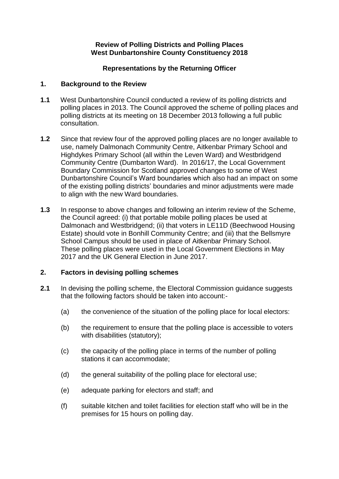#### **Review of Polling Districts and Polling Places West Dunbartonshire County Constituency 2018**

## **Representations by the Returning Officer**

### **1. Background to the Review**

- **1.1** West Dunbartonshire Council conducted a review of its polling districts and polling places in 2013. The Council approved the scheme of polling places and polling districts at its meeting on 18 December 2013 following a full public consultation.
- **1.2** Since that review four of the approved polling places are no longer available to use, namely Dalmonach Community Centre, Aitkenbar Primary School and Highdykes Primary School (all within the Leven Ward) and Westbridgend Community Centre (Dumbarton Ward). In 2016/17, the Local Government Boundary Commission for Scotland approved changes to some of West Dunbartonshire Council's Ward boundaries which also had an impact on some of the existing polling districts' boundaries and minor adjustments were made to align with the new Ward boundaries.
- **1.3** In response to above changes and following an interim review of the Scheme, the Council agreed: (i) that portable mobile polling places be used at Dalmonach and Westbridgend; (ii) that voters in LE11D (Beechwood Housing Estate) should vote in Bonhill Community Centre; and (iii) that the Bellsmyre School Campus should be used in place of Aitkenbar Primary School. These polling places were used in the Local Government Elections in May 2017 and the UK General Election in June 2017.

# **2. Factors in devising polling schemes**

- **2.1** In devising the polling scheme, the Electoral Commission guidance suggests that the following factors should be taken into account:-
	- (a) the convenience of the situation of the polling place for local electors:
	- (b) the requirement to ensure that the polling place is accessible to voters with disabilities (statutory);
	- (c) the capacity of the polling place in terms of the number of polling stations it can accommodate;
	- (d) the general suitability of the polling place for electoral use;
	- (e) adequate parking for electors and staff; and
	- (f) suitable kitchen and toilet facilities for election staff who will be in the premises for 15 hours on polling day.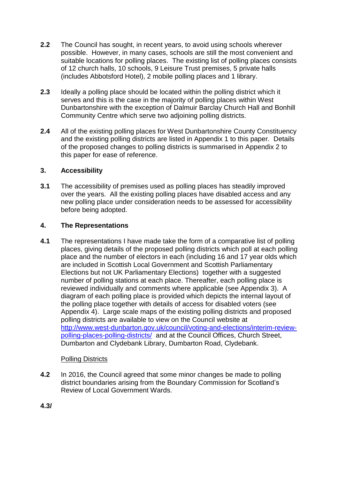- **2.2** The Council has sought, in recent years, to avoid using schools wherever possible. However, in many cases, schools are still the most convenient and suitable locations for polling places. The existing list of polling places consists of 12 church halls, 10 schools, 9 Leisure Trust premises, 5 private halls (includes Abbotsford Hotel), 2 mobile polling places and 1 library.
- **2.3** Ideally a polling place should be located within the polling district which it serves and this is the case in the majority of polling places within West Dunbartonshire with the exception of Dalmuir Barclay Church Hall and Bonhill Community Centre which serve two adjoining polling districts.
- **2.4** All of the existing polling places for West Dunbartonshire County Constituency and the existing polling districts are listed in Appendix 1 to this paper. Details of the proposed changes to polling districts is summarised in Appendix 2 to this paper for ease of reference.

# **3. Accessibility**

**3.1** The accessibility of premises used as polling places has steadily improved over the years. All the existing polling places have disabled access and any new polling place under consideration needs to be assessed for accessibility before being adopted.

## **4. The Representations**

**4.1** The representations I have made take the form of a comparative list of polling places, giving details of the proposed polling districts which poll at each polling place and the number of electors in each (including 16 and 17 year olds which are included in Scottish Local Government and Scottish Parliamentary Elections but not UK Parliamentary Elections) together with a suggested number of polling stations at each place. Thereafter, each polling place is reviewed individually and comments where applicable (see Appendix 3). A diagram of each polling place is provided which depicts the internal layout of the polling place together with details of access for disabled voters (see Appendix 4). Large scale maps of the existing polling districts and proposed polling districts are available to view on the Council website at [http://www.west-dunbarton.gov.uk/council/voting-and-elections/interim-review](http://www.west-dunbarton.gov.uk/council/voting-and-elections/interim-review-polling-places-polling-districts/)[polling-places-polling-districts/](http://www.west-dunbarton.gov.uk/council/voting-and-elections/interim-review-polling-places-polling-districts/) and at the Council Offices, Church Street, Dumbarton and Clydebank Library, Dumbarton Road, Clydebank.

# Polling Districts

**4.2** In 2016, the Council agreed that some minor changes be made to polling district boundaries arising from the Boundary Commission for Scotland's Review of Local Government Wards.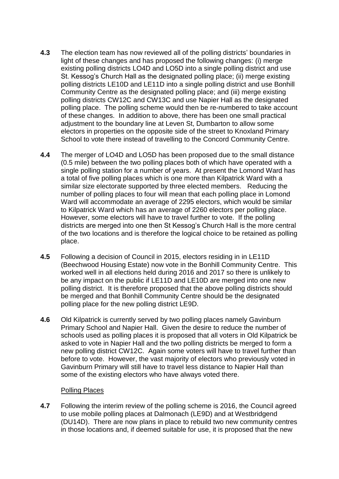- **4.3** The election team has now reviewed all of the polling districts' boundaries in light of these changes and has proposed the following changes: (i) merge existing polling districts LO4D and LO5D into a single polling district and use St. Kessog's Church Hall as the designated polling place; (ii) merge existing polling districts LE10D and LE11D into a single polling district and use Bonhill Community Centre as the designated polling place; and (iii) merge existing polling districts CW12C and CW13C and use Napier Hall as the designated polling place. The polling scheme would then be re-numbered to take account of these changes. In addition to above, there has been one small practical adjustment to the boundary line at Leven St, Dumbarton to allow some electors in properties on the opposite side of the street to Knoxland Primary School to vote there instead of travelling to the Concord Community Centre.
- **4.4** The merger of LO4D and LO5D has been proposed due to the small distance (0.5 mile) between the two polling places both of which have operated with a single polling station for a number of years. At present the Lomond Ward has a total of five polling places which is one more than Kilpatrick Ward with a similar size electorate supported by three elected members. Reducing the number of polling places to four will mean that each polling place in Lomond Ward will accommodate an average of 2295 electors, which would be similar to Kilpatrick Ward which has an average of 2260 electors per polling place. However, some electors will have to travel further to vote. If the polling districts are merged into one then St Kessog's Church Hall is the more central of the two locations and is therefore the logical choice to be retained as polling place.
- **4.5** Following a decision of Council in 2015, electors residing in in LE11D (Beechwood Housing Estate) now vote in the Bonhill Community Centre. This worked well in all elections held during 2016 and 2017 so there is unlikely to be any impact on the public if LE11D and LE10D are merged into one new polling district. It is therefore proposed that the above polling districts should be merged and that Bonhill Community Centre should be the designated polling place for the new polling district LE9D.
- **4.6** Old Kilpatrick is currently served by two polling places namely Gavinburn Primary School and Napier Hall. Given the desire to reduce the number of schools used as polling places it is proposed that all voters in Old Kilpatrick be asked to vote in Napier Hall and the two polling districts be merged to form a new polling district CW12C. Again some voters will have to travel further than before to vote. However, the vast majority of electors who previously voted in Gavinburn Primary will still have to travel less distance to Napier Hall than some of the existing electors who have always voted there.

#### Polling Places

**4.7** Following the interim review of the polling scheme is 2016, the Council agreed to use mobile polling places at Dalmonach (LE9D) and at Westbridgend (DU14D). There are now plans in place to rebuild two new community centres in those locations and, if deemed suitable for use, it is proposed that the new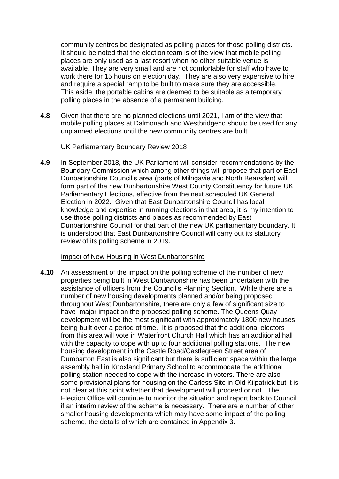community centres be designated as polling places for those polling districts. It should be noted that the election team is of the view that mobile polling places are only used as a last resort when no other suitable venue is available. They are very small and are not comfortable for staff who have to work there for 15 hours on election day. They are also very expensive to hire and require a special ramp to be built to make sure they are accessible. This aside, the portable cabins are deemed to be suitable as a temporary polling places in the absence of a permanent building.

**4.8** Given that there are no planned elections until 2021, I am of the view that mobile polling places at Dalmonach and Westbridgend should be used for any unplanned elections until the new community centres are built.

#### UK Parliamentary Boundary Review 2018

**4.9** In September 2018, the UK Parliament will consider recommendations by the Boundary Commission which among other things will propose that part of East Dunbartonshire Council's area (parts of Milngavie and North Bearsden) will form part of the new Dunbartonshire West County Constituency for future UK Parliamentary Elections, effective from the next scheduled UK General Election in 2022. Given that East Dunbartonshire Council has local knowledge and expertise in running elections in that area, it is my intention to use those polling districts and places as recommended by East Dunbartonshire Council for that part of the new UK parliamentary boundary. It is understood that East Dunbartonshire Council will carry out its statutory review of its polling scheme in 2019.

#### Impact of New Housing in West Dunbartonshire

**4.10** An assessment of the impact on the polling scheme of the number of new properties being built in West Dunbartonshire has been undertaken with the assistance of officers from the Council's Planning Section. While there are a number of new housing developments planned and/or being proposed throughout West Dunbartonshire, there are only a few of significant size to have major impact on the proposed polling scheme. The Queens Quay development will be the most significant with approximately 1800 new houses being built over a period of time. It is proposed that the additional electors from this area will vote in Waterfront Church Hall which has an additional hall with the capacity to cope with up to four additional polling stations. The new housing development in the Castle Road/Castlegreen Street area of Dumbarton East is also significant but there is sufficient space within the large assembly hall in Knoxland Primary School to accommodate the additional polling station needed to cope with the increase in voters. There are also some provisional plans for housing on the Carless Site in Old Kilpatrick but it is not clear at this point whether that development will proceed or not. The Election Office will continue to monitor the situation and report back to Council if an interim review of the scheme is necessary. There are a number of other smaller housing developments which may have some impact of the polling scheme, the details of which are contained in Appendix 3.